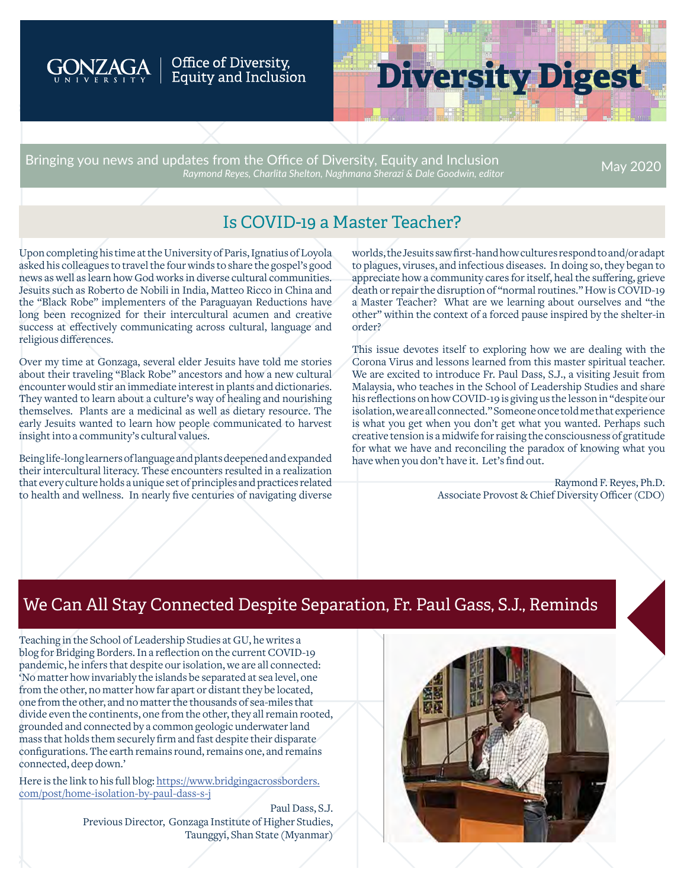

#### Office of Diversity, Equity and Inclusion

# **Diversity Digest**

Bringing you news and updates from the Office of Diversity, Equity and Inclusion *Raymond Reyes, Charlita Shelton, Naghmana Sherazi & Dale Goodwin, editor* May 2020

# Is COVID-19 a Master Teacher?

Upon completing his time at the University of Paris, Ignatius of Loyola asked his colleagues to travel the four winds to share the gospel's good news as well as learn how God works in diverse cultural communities. Jesuits such as Roberto de Nobili in India, Matteo Ricco in China and the "Black Robe" implementers of the Paraguayan Reductions have long been recognized for their intercultural acumen and creative success at effectively communicating across cultural, language and religious differences.

Over my time at Gonzaga, several elder Jesuits have told me stories about their traveling "Black Robe" ancestors and how a new cultural encounter would stir an immediate interest in plants and dictionaries. They wanted to learn about a culture's way of healing and nourishing themselves. Plants are a medicinal as well as dietary resource. The early Jesuits wanted to learn how people communicated to harvest insight into a community's cultural values.

Being life-long learners of language and plants deepened and expanded their intercultural literacy. These encounters resulted in a realization that every culture holds a unique set of principles and practices related to health and wellness. In nearly five centuries of navigating diverse

worlds, the Jesuits saw first-hand how cultures respond to and/or adapt to plagues, viruses, and infectious diseases. In doing so, they began to appreciate how a community cares for itself, heal the suffering, grieve death or repair the disruption of "normal routines." How is COVID-19 a Master Teacher? What are we learning about ourselves and "the other" within the context of a forced pause inspired by the shelter-in order?

This issue devotes itself to exploring how we are dealing with the Corona Virus and lessons learned from this master spiritual teacher. We are excited to introduce Fr. Paul Dass, S.J., a visiting Jesuit from Malaysia, who teaches in the School of Leadership Studies and share his reflections on how COVID-19 is giving us the lesson in "despite our isolation, we are all connected." Someone once told me that experience is what you get when you don't get what you wanted. Perhaps such creative tension is a midwife for raising the consciousness of gratitude for what we have and reconciling the paradox of knowing what you have when you don't have it. Let's find out.

> Raymond F. Reyes, Ph.D. Associate Provost & Chief Diversity Officer (CDO)

# We Can All Stay Connected Despite Separation, Fr. Paul Gass, S.J., Reminds

Teaching in the School of Leadership Studies at GU, he writes a blog for Bridging Borders. In a reflection on the current COVID-19 pandemic, he infers that despite our isolation, we are all connected: 'No matter how invariably the islands be separated at sea level, one from the other, no matter how far apart or distant they be located, one from the other, and no matter the thousands of sea-miles that divide even the continents, one from the other, they all remain rooted, grounded and connected by a common geologic underwater land mass that holds them securely firm and fast despite their disparate configurations. The earth remains round, remains one, and remains connected, deep down.'

Here is the link to his full blog: [https://www.bridgingacrossborders.](https://www.bridgingacrossborders.com/post/home-isolation-by-paul-dass-s-j) [com/post/home-isolation-by-paul-dass-s-j](https://www.bridgingacrossborders.com/post/home-isolation-by-paul-dass-s-j)

> Paul Dass, S.J. Previous Director, Gonzaga Institute of Higher Studies, Taunggyi, Shan State (Myanmar)

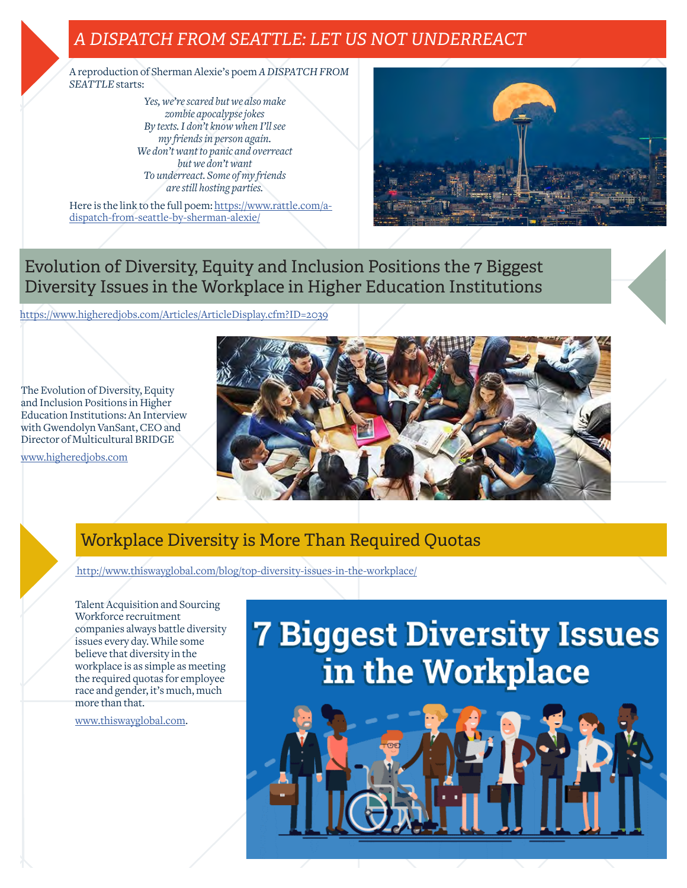# *A DISPATCH FROM SEATTLE: LET US NOT UNDERREACT*

A reproduction of Sherman Alexie's poem *A DISPATCH FROM SEATTLE* starts:

> *Yes, we're scared but we also make zombie apocalypse jokes By texts. I don't know when I'll see my friends in person again. We don't want to panic and overreact but we don't want To underreact. Some of my friends are still hosting parties.*

Here is the link to the full poem: [https://www.rattle.com/a](https://www.rattle.com/a-dispatch-from-seattle-by-sherman-alexie/ )[dispatch-from-seattle-by-sherman-alexie/](https://www.rattle.com/a-dispatch-from-seattle-by-sherman-alexie/ )



Evolution of Diversity, Equity and Inclusion Positions the 7 Biggest Diversity Issues in the Workplace in Higher Education Institutions

<https://www.higheredjobs.com/Articles/ArticleDisplay.cfm?ID=2039>

The Evolution of Diversity, Equity and Inclusion Positions in Higher Education Institutions: An Interview with Gwendolyn VanSant, CEO and Director of Multicultural BRIDGE

[www.higheredjobs.com](http://www.higheredjobs.com)



# Workplace Diversity is More Than Required Quotas

 [http://www.thiswayglobal.com/blog/top-diversity-issues-in-the-workplace/]( http://www.thiswayglobal.com/blog/top-diversity-issues-in-the-workplace/)

Talent Acquisition and Sourcing Workforce recruitment companies always battle diversity issues every day. While some believe that diversity in the workplace is as simple as meeting the required quotas for employee race and gender, it's much, much more than that.

[www.thiswayglobal.com](http://www.thiswayglobal.com).

# **7 Biggest Diversity Issues** in the Workplace